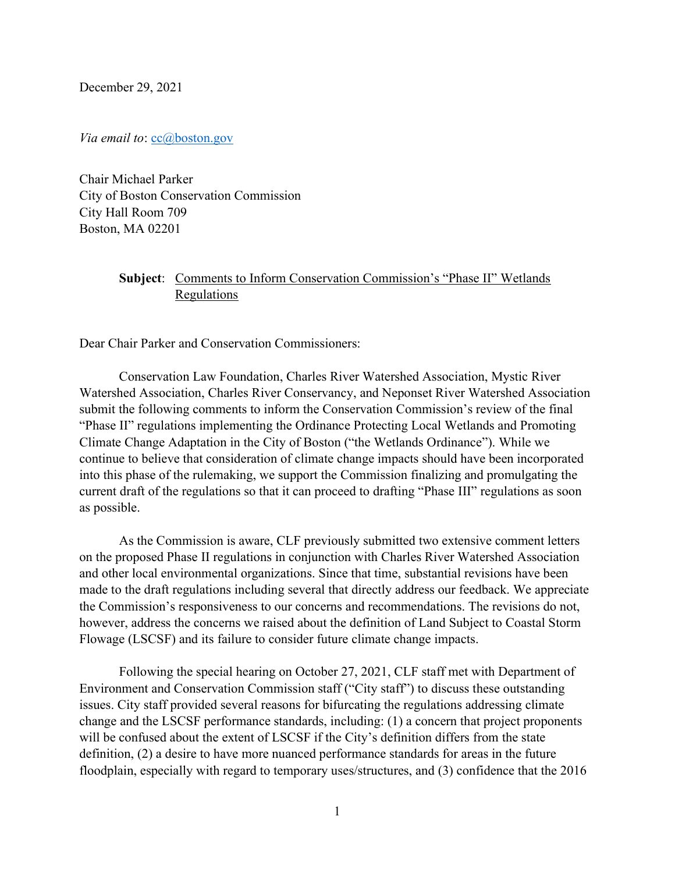December 29, 2021

*Via email to:*  $\frac{\text{cc}(a) \text{boston.gov}}{\text{c}(a)}$ 

Chair Michael Parker City of Boston Conservation Commission City Hall Room 709 Boston, MA 02201

## Subject: Comments to Inform Conservation Commission's "Phase II" Wetlands Regulations

Dear Chair Parker and Conservation Commissioners:

 Conservation Law Foundation, Charles River Watershed Association, Mystic River Watershed Association, Charles River Conservancy, and Neponset River Watershed Association submit the following comments to inform the Conservation Commission's review of the final "Phase II" regulations implementing the Ordinance Protecting Local Wetlands and Promoting Climate Change Adaptation in the City of Boston ("the Wetlands Ordinance"). While we continue to believe that consideration of climate change impacts should have been incorporated into this phase of the rulemaking, we support the Commission finalizing and promulgating the current draft of the regulations so that it can proceed to drafting "Phase III" regulations as soon as possible.

 As the Commission is aware, CLF previously submitted two extensive comment letters on the proposed Phase II regulations in conjunction with Charles River Watershed Association and other local environmental organizations. Since that time, substantial revisions have been made to the draft regulations including several that directly address our feedback. We appreciate the Commission's responsiveness to our concerns and recommendations. The revisions do not, however, address the concerns we raised about the definition of Land Subject to Coastal Storm Flowage (LSCSF) and its failure to consider future climate change impacts.

Following the special hearing on October 27, 2021, CLF staff met with Department of Environment and Conservation Commission staff ("City staff") to discuss these outstanding issues. City staff provided several reasons for bifurcating the regulations addressing climate change and the LSCSF performance standards, including: (1) a concern that project proponents will be confused about the extent of LSCSF if the City's definition differs from the state definition, (2) a desire to have more nuanced performance standards for areas in the future floodplain, especially with regard to temporary uses/structures, and (3) confidence that the 2016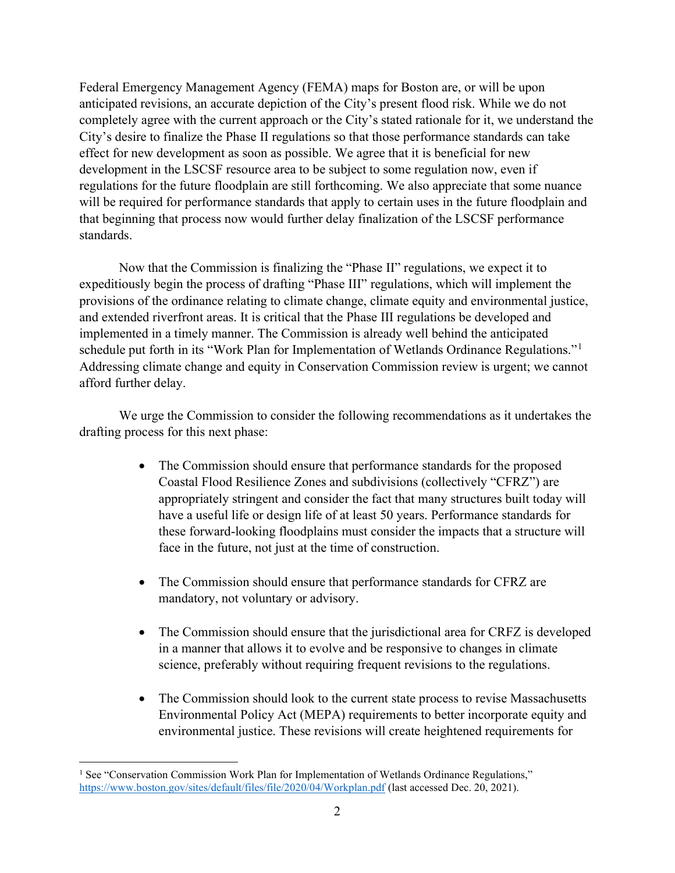Federal Emergency Management Agency (FEMA) maps for Boston are, or will be upon anticipated revisions, an accurate depiction of the City's present flood risk. While we do not completely agree with the current approach or the City's stated rationale for it, we understand the City's desire to finalize the Phase II regulations so that those performance standards can take effect for new development as soon as possible. We agree that it is beneficial for new development in the LSCSF resource area to be subject to some regulation now, even if regulations for the future floodplain are still forthcoming. We also appreciate that some nuance will be required for performance standards that apply to certain uses in the future floodplain and that beginning that process now would further delay finalization of the LSCSF performance standards.

Now that the Commission is finalizing the "Phase II" regulations, we expect it to expeditiously begin the process of drafting "Phase III" regulations, which will implement the provisions of the ordinance relating to climate change, climate equity and environmental justice, and extended riverfront areas. It is critical that the Phase III regulations be developed and implemented in a timely manner. The Commission is already well behind the anticipated schedule put forth in its "Work Plan for Implementation of Wetlands Ordinance Regulations."<sup>1</sup> Addressing climate change and equity in Conservation Commission review is urgent; we cannot afford further delay.

We urge the Commission to consider the following recommendations as it undertakes the drafting process for this next phase:

- The Commission should ensure that performance standards for the proposed Coastal Flood Resilience Zones and subdivisions (collectively "CFRZ") are appropriately stringent and consider the fact that many structures built today will have a useful life or design life of at least 50 years. Performance standards for these forward-looking floodplains must consider the impacts that a structure will face in the future, not just at the time of construction.
- The Commission should ensure that performance standards for CFRZ are mandatory, not voluntary or advisory.
- The Commission should ensure that the jurisdictional area for CRFZ is developed in a manner that allows it to evolve and be responsive to changes in climate science, preferably without requiring frequent revisions to the regulations.
- The Commission should look to the current state process to revise Massachusetts Environmental Policy Act (MEPA) requirements to better incorporate equity and environmental justice. These revisions will create heightened requirements for

<sup>&</sup>lt;sup>1</sup> See "Conservation Commission Work Plan for Implementation of Wetlands Ordinance Regulations," https://www.boston.gov/sites/default/files/file/2020/04/Workplan.pdf (last accessed Dec. 20, 2021).